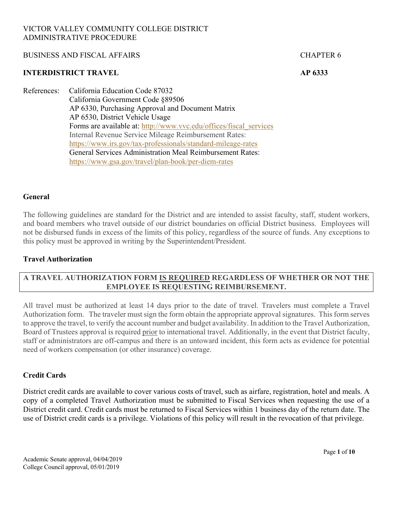### BUSINESS AND FISCAL AFFAIRS FOR THE RESERVE OF A SERIES AND FISCAL AFFAIRS

#### **INTERDISTRICT TRAVEL AP 6333**

References: California Education Code 87032 California Government Code §89506 AP 6330, Purchasing Approval and Document Matrix AP 6530, District Vehicle Usage Forms are available at: http://www.vvc.edu/offices/fiscal\_services Internal Revenue Service Mileage Reimbursement Rates: https://www.irs.gov/tax-professionals/standard-mileage-rates General Services Administration Meal Reimbursement Rates: https://www.gsa.gov/travel/plan-book/per-diem-rates

### **General**

The following guidelines are standard for the District and are intended to assist faculty, staff, student workers, and board members who travel outside of our district boundaries on official District business. Employees will not be disbursed funds in excess of the limits of this policy, regardless of the source of funds. Any exceptions to this policy must be approved in writing by the Superintendent/President.

### **Travel Authorization**

## **A TRAVEL AUTHORIZATION FORM IS REQUIRED REGARDLESS OF WHETHER OR NOT THE EMPLOYEE IS REQUESTING REIMBURSEMENT.**

All travel must be authorized at least 14 days prior to the date of travel. Travelers must complete a Travel Authorization form. The traveler must sign the form obtain the appropriate approval signatures. This form serves to approve the travel, to verify the account number and budget availability. In addition to the Travel Authorization, Board of Trustees approval is required prior to international travel. Additionally, in the event that District faculty, staff or administrators are off-campus and there is an untoward incident, this form acts as evidence for potential need of workers compensation (or other insurance) coverage.

### **Credit Cards**

District credit cards are available to cover various costs of travel, such as airfare, registration, hotel and meals. A copy of a completed Travel Authorization must be submitted to Fiscal Services when requesting the use of a District credit card. Credit cards must be returned to Fiscal Services within 1 business day of the return date. The use of District credit cards is a privilege. Violations of this policy will result in the revocation of that privilege.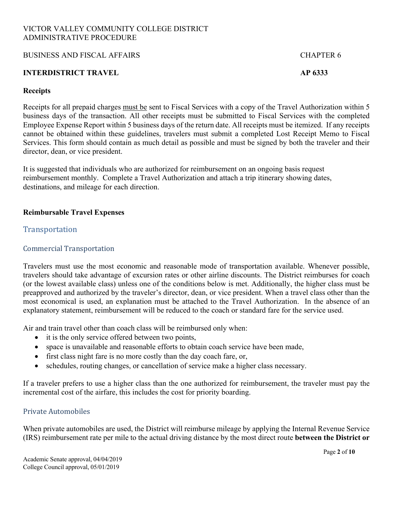### BUSINESS AND FISCAL AFFAIRS FOR THE RESERVE OF A SERIES AND FISCAL AFFAIRS

### **INTERDISTRICT TRAVEL AP 6333**

### **Receipts**

Receipts for all prepaid charges must be sent to Fiscal Services with a copy of the Travel Authorization within 5 business days of the transaction. All other receipts must be submitted to Fiscal Services with the completed Employee Expense Report within 5 business days of the return date. All receipts must be itemized. If any receipts cannot be obtained within these guidelines, travelers must submit a completed Lost Receipt Memo to Fiscal Services. This form should contain as much detail as possible and must be signed by both the traveler and their director, dean, or vice president.

It is suggested that individuals who are authorized for reimbursement on an ongoing basis request reimbursement monthly. Complete a Travel Authorization and attach a trip itinerary showing dates, destinations, and mileage for each direction.

### **Reimbursable Travel Expenses**

## **Transportation**

## Commercial Transportation

Travelers must use the most economic and reasonable mode of transportation available. Whenever possible, travelers should take advantage of excursion rates or other airline discounts. The District reimburses for coach (or the lowest available class) unless one of the conditions below is met. Additionally, the higher class must be preapproved and authorized by the traveler's director, dean, or vice president. When a travel class other than the most economical is used, an explanation must be attached to the Travel Authorization. In the absence of an explanatory statement, reimbursement will be reduced to the coach or standard fare for the service used.

Air and train travel other than coach class will be reimbursed only when:

- it is the only service offered between two points,
- space is unavailable and reasonable efforts to obtain coach service have been made,
- first class night fare is no more costly than the day coach fare, or,
- schedules, routing changes, or cancellation of service make a higher class necessary.

If a traveler prefers to use a higher class than the one authorized for reimbursement, the traveler must pay the incremental cost of the airfare, this includes the cost for priority boarding.

### Private Automobiles

When private automobiles are used, the District will reimburse mileage by applying the Internal Revenue Service (IRS) reimbursement rate per mile to the actual driving distance by the most direct route **between the District or**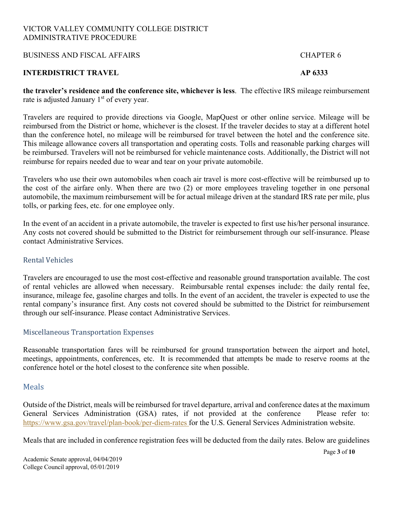### BUSINESS AND FISCAL AFFAIRS CHAPTER 6

## **INTERDISTRICT TRAVEL AP 6333**

**the traveler's residence and the conference site, whichever is less**. The effective IRS mileage reimbursement rate is adjusted January 1<sup>st</sup> of every year.

Travelers are required to provide directions via Google, MapQuest or other online service. Mileage will be reimbursed from the District or home, whichever is the closest. If the traveler decides to stay at a different hotel than the conference hotel, no mileage will be reimbursed for travel between the hotel and the conference site. This mileage allowance covers all transportation and operating costs. Tolls and reasonable parking charges will be reimbursed. Travelers will not be reimbursed for vehicle maintenance costs. Additionally, the District will not reimburse for repairs needed due to wear and tear on your private automobile.

Travelers who use their own automobiles when coach air travel is more cost-effective will be reimbursed up to the cost of the airfare only. When there are two (2) or more employees traveling together in one personal automobile, the maximum reimbursement will be for actual mileage driven at the standard IRS rate per mile, plus tolls, or parking fees, etc. for one employee only.

In the event of an accident in a private automobile, the traveler is expected to first use his/her personal insurance. Any costs not covered should be submitted to the District for reimbursement through our self-insurance. Please contact Administrative Services.

### Rental Vehicles

Travelers are encouraged to use the most cost-effective and reasonable ground transportation available. The cost of rental vehicles are allowed when necessary. Reimbursable rental expenses include: the daily rental fee, insurance, mileage fee, gasoline charges and tolls. In the event of an accident, the traveler is expected to use the rental company's insurance first. Any costs not covered should be submitted to the District for reimbursement through our self-insurance. Please contact Administrative Services.

## Miscellaneous Transportation Expenses

Reasonable transportation fares will be reimbursed for ground transportation between the airport and hotel, meetings, appointments, conferences, etc. It is recommended that attempts be made to reserve rooms at the conference hotel or the hotel closest to the conference site when possible.

## Meals

Outside of the District, meals will be reimbursed for travel departure, arrival and conference dates at the maximum General Services Administration (GSA) rates, if not provided at the conference Please refer to: https://www.gsa.gov/travel/plan-book/per-diem-rates for the U.S. General Services Administration website.

Meals that are included in conference registration fees will be deducted from the daily rates. Below are guidelines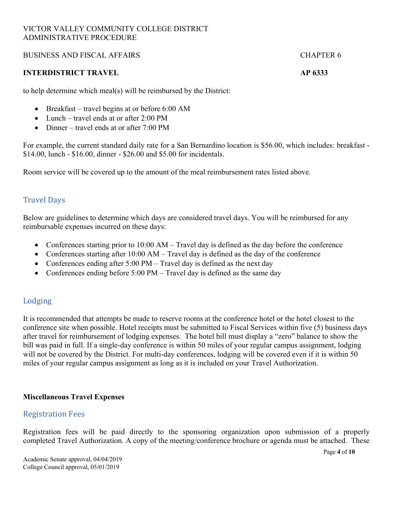### BUSINESS AND FISCAL AFFAIRS FOR THE RESERVE OF A SERIES AND FISCAL AFFAIRS

### **INTERDISTRICT TRAVEL AP 6333**

to help determine which meal(s) will be reimbursed by the District:

- Breakfast travel begins at or before 6:00 AM
- Lunch travel ends at or after 2:00 PM
- Dinner travel ends at or after  $7:00 \text{ PM}$

For example, the current standard daily rate for a San Bernardino location is \$56.00, which includes: breakfast - \$14.00, lunch - \$16.00, dinner - \$26.00 and \$5.00 for incidentals.

Room service will be covered up to the amount of the meal reimbursement rates listed above.

## **Travel Days**

Below are guidelines to determine which days are considered travel days. You will be reimbursed for any reimbursable expenses incurred on these days:

- Conferences starting prior to 10:00 AM Travel day is defined as the day before the conference
- Conferences starting after  $10:00$  AM Travel day is defined as the day of the conference
- Conferences ending after 5:00 PM Travel day is defined as the next day
- Conferences ending before 5:00 PM Travel day is defined as the same day

# Lodging

It is recommended that attempts be made to reserve rooms at the conference hotel or the hotel closest to the conference site when possible. Hotel receipts must be submitted to Fiscal Services within five (5) business days after travel for reimbursement of lodging expenses. The hotel bill must display a "zero" balance to show the bill was paid in full. If a single-day conference is within 50 miles of your regular campus assignment, lodging will not be covered by the District. For multi-day conferences, lodging will be covered even if it is within 50 miles of your regular campus assignment as long as it is included on your Travel Authorization.

### **Miscellaneous Travel Expenses**

## Registration Fees

Registration fees will be paid directly to the sponsoring organization upon submission of a properly completed Travel Authorization. A copy of the meeting/conference brochure or agenda must be attached. These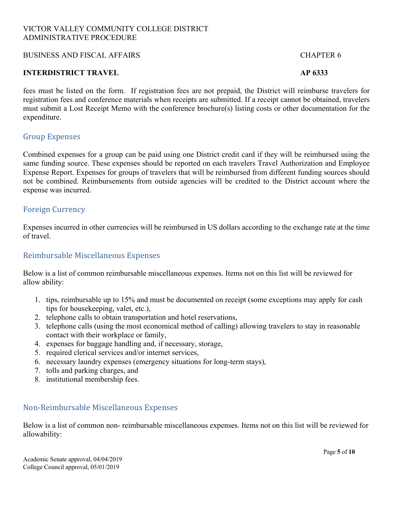### BUSINESS AND FISCAL AFFAIRS FOR THE RESERVE OF A SERIES AND FISCAL AFFAIRS

### **INTERDISTRICT TRAVEL AP 6333**

fees must be listed on the form. If registration fees are not prepaid, the District will reimburse travelers for registration fees and conference materials when receipts are submitted. If a receipt cannot be obtained, travelers must submit a Lost Receipt Memo with the conference brochure(s) listing costs or other documentation for the expenditure.

## Group Expenses

Combined expenses for a group can be paid using one District credit card if they will be reimbursed using the same funding source. These expenses should be reported on each travelers Travel Authorization and Employee Expense Report. Expenses for groups of travelers that will be reimbursed from different funding sources should not be combined. Reimbursements from outside agencies will be credited to the District account where the expense was incurred.

## Foreign Currency

Expenses incurred in other currencies will be reimbursed in US dollars according to the exchange rate at the time of travel.

## Reimbursable Miscellaneous Expenses

Below is a list of common reimbursable miscellaneous expenses. Items not on this list will be reviewed for allow ability:

- 1. tips, reimbursable up to 15% and must be documented on receipt (some exceptions may apply for cash tips for housekeeping, valet, etc.),
- 2. telephone calls to obtain transportation and hotel reservations,
- 3. telephone calls (using the most economical method of calling) allowing travelers to stay in reasonable contact with their workplace or family,
- 4. expenses for baggage handling and, if necessary, storage,
- 5. required clerical services and/or internet services,
- 6. necessary laundry expenses (emergency situations for long-term stays),
- 7. tolls and parking charges, and
- 8. institutional membership fees.

# Non-Reimbursable Miscellaneous Expenses

Below is a list of common non- reimbursable miscellaneous expenses. Items not on this list will be reviewed for allowability: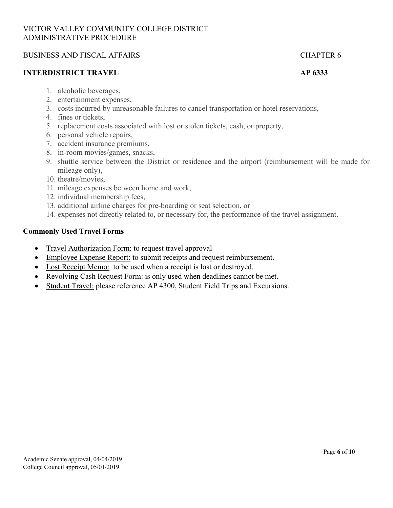## BUSINESS AND FISCAL AFFAIRS CHAPTER 6

### **INTERDISTRICT TRAVEL AP 6333**

- 1. alcoholic beverages,
- 2. entertainment expenses,
- 3. costs incurred by unreasonable failures to cancel transportation or hotel reservations,
- 4. fines or tickets,
- 5. replacement costs associated with lost or stolen tickets, cash, or property,
- 6. personal vehicle repairs,
- 7. accident insurance premiums,
- 8. in-room movies/games, snacks,
- 9. shuttle service between the District or residence and the airport (reimbursement will be made for mileage only),
- 10. theatre/movies,
- 11. mileage expenses between home and work,
- 12. individual membership fees,
- 13. additional airline charges for pre-boarding or seat selection, or
- 14. expenses not directly related to, or necessary for, the performance of the travel assignment.

### **Commonly Used Travel Forms**

- Travel Authorization Form: to request travel approval
- Employee Expense Report: to submit receipts and request reimbursement.
- Lost Receipt Memo: to be used when a receipt is lost or destroyed.
- Revolving Cash Request Form: is only used when deadlines cannot be met.
- Student Travel: please reference AP 4300, Student Field Trips and Excursions.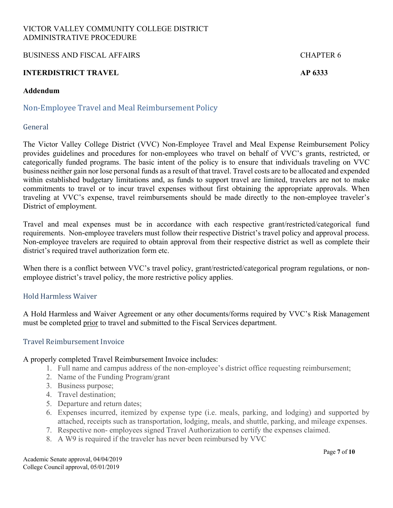BUSINESS AND FISCAL AFFAIRS FOR THE RESERVE OF A SERIES AND FISCAL AFFAIRS

## **INTERDISTRICT TRAVEL AP 6333**

### **Addendum**

# Non-Employee Travel and Meal Reimbursement Policy

## General

The Victor Valley College District (VVC) Non-Employee Travel and Meal Expense Reimbursement Policy provides guidelines and procedures for non-employees who travel on behalf of VVC's grants, restricted, or categorically funded programs. The basic intent of the policy is to ensure that individuals traveling on VVC business neither gain nor lose personal funds as a result of that travel. Travel costs are to be allocated and expended within established budgetary limitations and, as funds to support travel are limited, travelers are not to make commitments to travel or to incur travel expenses without first obtaining the appropriate approvals. When traveling at VVC's expense, travel reimbursements should be made directly to the non-employee traveler's District of employment.

Travel and meal expenses must be in accordance with each respective grant/restricted/categorical fund requirements. Non-employee travelers must follow their respective District's travel policy and approval process. Non-employee travelers are required to obtain approval from their respective district as well as complete their district's required travel authorization form etc.

When there is a conflict between VVC's travel policy, grant/restricted/categorical program regulations, or nonemployee district's travel policy, the more restrictive policy applies.

## Hold Harmless Waiver

A Hold Harmless and Waiver Agreement or any other documents/forms required by VVC's Risk Management must be completed prior to travel and submitted to the Fiscal Services department.

### Travel Reimbursement Invoice

### A properly completed Travel Reimbursement Invoice includes:

- 1. Full name and campus address of the non-employee's district office requesting reimbursement;
- 2. Name of the Funding Program/grant
- 3. Business purpose;
- 4. Travel destination;
- 5. Departure and return dates;
- 6. Expenses incurred, itemized by expense type (i.e. meals, parking, and lodging) and supported by attached, receipts such as transportation, lodging, meals, and shuttle, parking, and mileage expenses.
- 7. Respective non- employees signed Travel Authorization to certify the expenses claimed.
- 8. A W9 is required if the traveler has never been reimbursed by VVC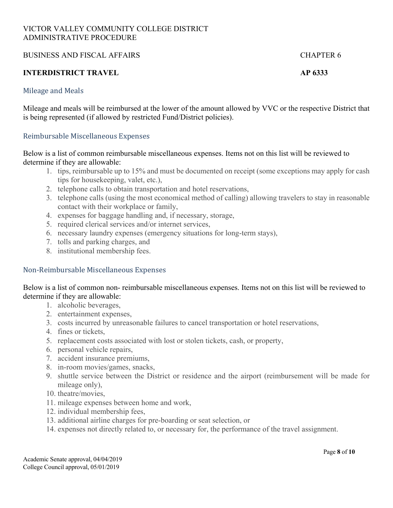### BUSINESS AND FISCAL AFFAIRS FOR THE RESERVE OF A SERIES AND FISCAL AFFAIRS

## **INTERDISTRICT TRAVEL AP 6333**

### Mileage and Meals

Mileage and meals will be reimbursed at the lower of the amount allowed by VVC or the respective District that is being represented (if allowed by restricted Fund/District policies).

### Reimbursable Miscellaneous Expenses

Below is a list of common reimbursable miscellaneous expenses. Items not on this list will be reviewed to determine if they are allowable:

- 1. tips, reimbursable up to 15% and must be documented on receipt (some exceptions may apply for cash tips for housekeeping, valet, etc.),
- 2. telephone calls to obtain transportation and hotel reservations,
- 3. telephone calls (using the most economical method of calling) allowing travelers to stay in reasonable contact with their workplace or family,
- 4. expenses for baggage handling and, if necessary, storage,
- 5. required clerical services and/or internet services,
- 6. necessary laundry expenses (emergency situations for long-term stays),
- 7. tolls and parking charges, and
- 8. institutional membership fees.

## Non-Reimbursable Miscellaneous Expenses

Below is a list of common non- reimbursable miscellaneous expenses. Items not on this list will be reviewed to determine if they are allowable:

- 1. alcoholic beverages,
- 2. entertainment expenses,
- 3. costs incurred by unreasonable failures to cancel transportation or hotel reservations,
- 4. fines or tickets,
- 5. replacement costs associated with lost or stolen tickets, cash, or property,
- 6. personal vehicle repairs,
- 7. accident insurance premiums,
- 8. in-room movies/games, snacks,
- 9. shuttle service between the District or residence and the airport (reimbursement will be made for mileage only),
- 10. theatre/movies,
- 11. mileage expenses between home and work,
- 12. individual membership fees,
- 13. additional airline charges for pre-boarding or seat selection, or
- 14. expenses not directly related to, or necessary for, the performance of the travel assignment.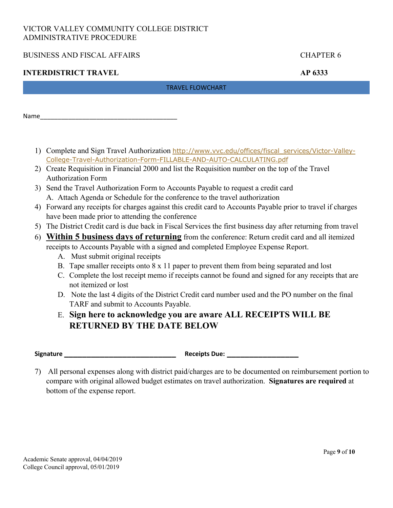## BUSINESS AND FISCAL AFFAIRS CHAPTER 6

## **INTERDISTRICT TRAVEL AP 6333**

### TRAVEL FLOWCHART

Name\_\_\_\_\_\_\_\_\_\_\_\_\_\_\_\_\_\_\_\_\_\_\_\_\_\_\_\_\_\_\_\_\_\_\_\_\_\_\_

- 1) Complete and Sign Travel Authorization http://www.vvc.edu/offices/fiscal\_services/Victor-Valley-College-Travel-Authorization-Form-FILLABLE-AND-AUTO-CALCULATING.pdf
- 2) Create Requisition in Financial 2000 and list the Requisition number on the top of the Travel Authorization Form
- 3) Send the Travel Authorization Form to Accounts Payable to request a credit card A. Attach Agenda or Schedule for the conference to the travel authorization
- 4) Forward any receipts for charges against this credit card to Accounts Payable prior to travel if charges have been made prior to attending the conference
- 5) The District Credit card is due back in Fiscal Services the first business day after returning from travel
- 6) **Within 5 business days of returning** from the conference: Return credit card and all itemized receipts to Accounts Payable with a signed and completed Employee Expense Report.
	- A. Must submit original receipts
	- B. Tape smaller receipts onto 8 x 11 paper to prevent them from being separated and lost
	- C. Complete the lost receipt memo if receipts cannot be found and signed for any receipts that are not itemized or lost
	- D. Note the last 4 digits of the District Credit card number used and the PO number on the final TARF and submit to Accounts Payable.
	- E. **Sign here to acknowledge you are aware ALL RECEIPTS WILL BE RETURNED BY THE DATE BELOW**

| <b>Signature</b> |  |
|------------------|--|
|                  |  |

**Signature \_\_\_\_\_\_\_\_\_\_\_\_\_\_\_\_\_\_\_\_\_\_\_\_\_ Receipts Due: \_\_\_\_\_\_\_\_\_\_\_\_\_\_\_\_**

7) All personal expenses along with district paid/charges are to be documented on reimbursement portion to compare with original allowed budget estimates on travel authorization. **Signatures are required** at bottom of the expense report.